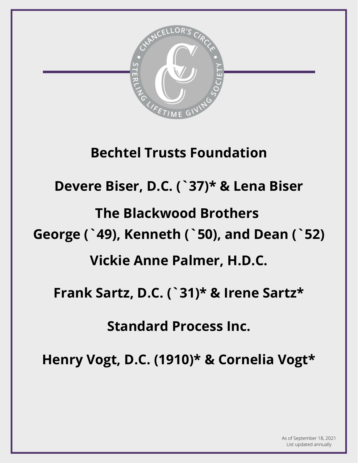

## **Bechtel Trusts Foundation**

**Devere Biser, D.C. (`37)\* & Lena Biser**

**The Blackwood Brothers George (`49), Kenneth (`50), and Dean (`52)**

**Vickie Anne Palmer, H.D.C.**

**Frank Sartz, D.C. (`31)\* & Irene Sartz\***

**Standard Process Inc.**

**Henry Vogt, D.C. (1910)\* & Cornelia Vogt\***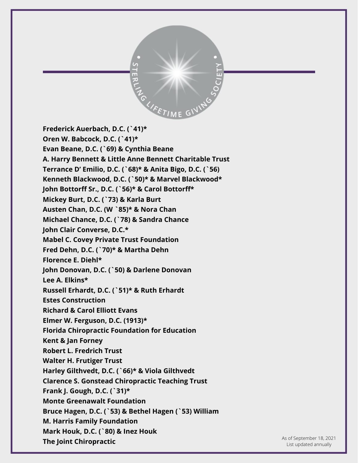

**Frederick Auerbach, D.C. (`41)\* Oren W. Babcock, D.C. (`41)\* Evan Beane, D.C. (`69) & Cynthia Beane A. Harry Bennett & Little Anne Bennett Charitable Trust Terrance D' Emilio, D.C. (`68)\* & Anita Bigo, D.C. (`56) Kenneth Blackwood, D.C. (`50)\* & Marvel Blackwood\* John Bottorff Sr., D.C. (`56)\* & Carol Bottorff\* Mickey Burt, D.C. (`73) & Karla Burt Austen Chan, D.C. (W `85)\* & Nora Chan Michael Chance, D.C. (`78) & Sandra Chance John Clair Converse, D.C.\* Mabel C. Covey Private Trust Foundation Fred Dehn, D.C. (`70)\* & Martha Dehn Florence E. Diehl\* John Donovan, D.C. (`50) & Darlene Donovan Lee A. Elkins\* Russell Erhardt, D.C. (`51)\* & Ruth Erhardt Estes Construction Richard & Carol Elliott Evans Elmer W. Ferguson, D.C. (1913)\* Florida Chiropractic Foundation for Education Kent & Jan Forney Robert L. Fredrich Trust Walter H. Frutiger Trust Harley Gilthvedt, D.C. (`66)\* & Viola Gilthvedt Clarence S. Gonstead Chiropractic Teaching Trust Frank J. Gough, D.C. (`31)\* Monte Greenawalt Foundation Bruce Hagen, D.C. (`53) & Bethel Hagen (`53) William M. Harris Family Foundation Mark Houk, D.C. (`80) & Inez Houk The Joint Chiropractic** Associated As of September 18, 2021